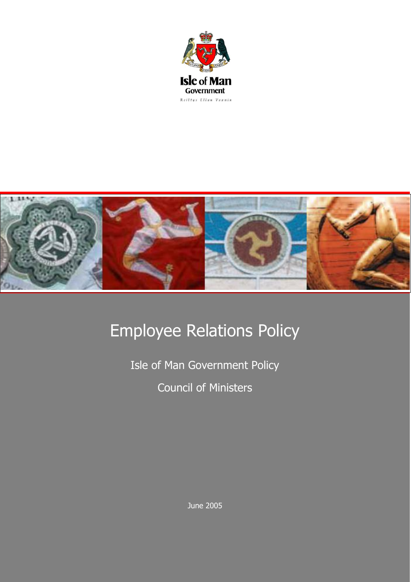



## Employee Relations Policy

Isle of Man Government Policy Council of Ministers

June 2005